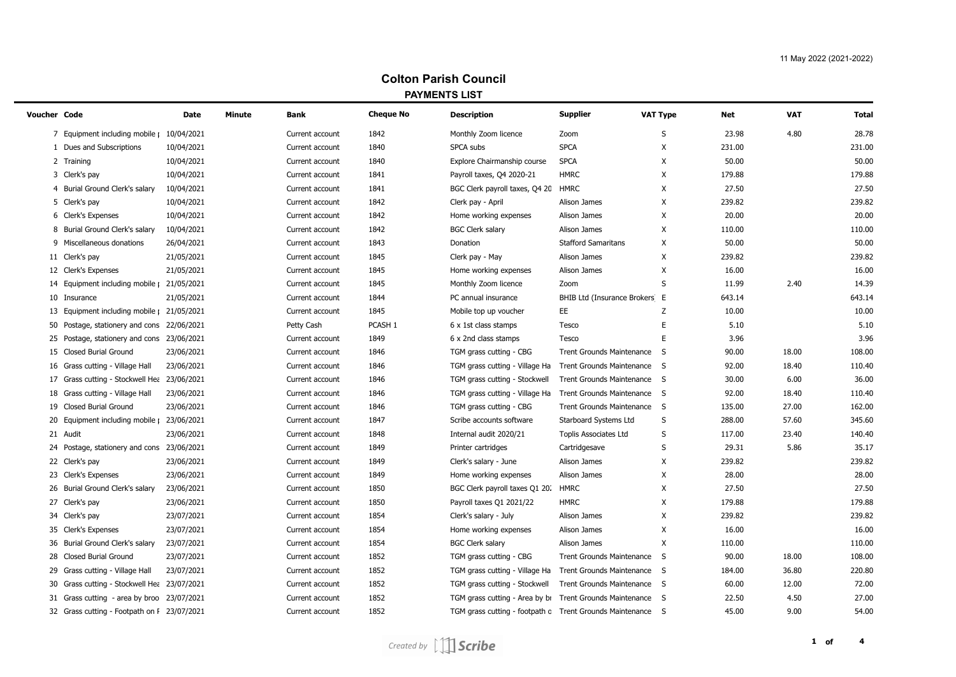## **Colton Parish Council PAYMENTS LIST**

| Voucher Code |                                             | Date       | Minute | Bank            | <b>Cheque No</b> | <b>Description</b>                                         | <b>Supplier</b>               | <b>VAT Type</b> | Net    | <b>VAT</b> | <b>Total</b> |
|--------------|---------------------------------------------|------------|--------|-----------------|------------------|------------------------------------------------------------|-------------------------------|-----------------|--------|------------|--------------|
|              | Equipment including mobile   10/04/2021     |            |        | Current account | 1842             | Monthly Zoom licence                                       | Zoom                          | S               | 23.98  | 4.80       | 28.78        |
|              | 1 Dues and Subscriptions                    | 10/04/2021 |        | Current account | 1840             | SPCA subs                                                  | <b>SPCA</b>                   | Χ               | 231.00 |            | 231.00       |
|              | 2 Training                                  | 10/04/2021 |        | Current account | 1840             | Explore Chairmanship course                                | <b>SPCA</b>                   | Χ               | 50.00  |            | 50.00        |
| 3            | Clerk's pay                                 | 10/04/2021 |        | Current account | 1841             | Payroll taxes, Q4 2020-21                                  | <b>HMRC</b>                   | X               | 179.88 |            | 179.88       |
|              | Burial Ground Clerk's salary                | 10/04/2021 |        | Current account | 1841             | BGC Clerk payroll taxes, Q4 20 HMRC                        |                               | Χ               | 27.50  |            | 27.50        |
| 5            | Clerk's pay                                 | 10/04/2021 |        | Current account | 1842             | Clerk pay - April                                          | Alison James                  | X               | 239.82 |            | 239.82       |
| 6            | Clerk's Expenses                            | 10/04/2021 |        | Current account | 1842             | Home working expenses                                      | Alison James                  | X               | 20.00  |            | 20.00        |
| 8            | Burial Ground Clerk's salary                | 10/04/2021 |        | Current account | 1842             | <b>BGC Clerk salary</b>                                    | Alison James                  | X               | 110.00 |            | 110.00       |
| 9            | Miscellaneous donations                     | 26/04/2021 |        | Current account | 1843             | Donation                                                   | <b>Stafford Samaritans</b>    | X               | 50.00  |            | 50.00        |
|              | 11 Clerk's pay                              | 21/05/2021 |        | Current account | 1845             | Clerk pay - May                                            | Alison James                  | X               | 239.82 |            | 239.82       |
|              | 12 Clerk's Expenses                         | 21/05/2021 |        | Current account | 1845             | Home working expenses                                      | Alison James                  | X               | 16.00  |            | 16.00        |
|              | 14 Equipment including mobile               | 21/05/2021 |        | Current account | 1845             | Monthly Zoom licence                                       | Zoom                          | S               | 11.99  | 2.40       | 14.39        |
|              | 10 Insurance                                | 21/05/2021 |        | Current account | 1844             | PC annual insurance                                        | BHIB Ltd (Insurance Brokers E |                 | 643.14 |            | 643.14       |
|              | 13 Equipment including mobile   21/05/2021  |            |        | Current account | 1845             | Mobile top up voucher                                      | EE.                           | Z               | 10.00  |            | 10.00        |
| 50           | Postage, stationery and cons 22/06/2021     |            |        | Petty Cash      | PCASH 1          | 6 x 1st class stamps                                       | Tesco                         | E               | 5.10   |            | 5.10         |
|              | 25 Postage, stationery and cons 23/06/2021  |            |        | Current account | 1849             | 6 x 2nd class stamps                                       | Tesco                         | E               | 3.96   |            | 3.96         |
|              | 15 Closed Burial Ground                     | 23/06/2021 |        | Current account | 1846             | TGM grass cutting - CBG                                    | Trent Grounds Maintenance S   |                 | 90.00  | 18.00      | 108.00       |
|              | 16 Grass cutting - Village Hall             | 23/06/2021 |        | Current account | 1846             | TGM grass cutting - Village Ha                             | Trent Grounds Maintenance S   |                 | 92.00  | 18.40      | 110.40       |
|              | 17 Grass cutting - Stockwell Hea 23/06/2021 |            |        | Current account | 1846             | TGM grass cutting - Stockwell                              | Trent Grounds Maintenance S   |                 | 30.00  | 6.00       | 36.00        |
|              | 18 Grass cutting - Village Hall             | 23/06/2021 |        | Current account | 1846             | TGM grass cutting - Village Ha                             | Trent Grounds Maintenance S   |                 | 92.00  | 18.40      | 110.40       |
|              | 19 Closed Burial Ground                     | 23/06/2021 |        | Current account | 1846             | TGM grass cutting - CBG                                    | Trent Grounds Maintenance S   |                 | 135.00 | 27.00      | 162.00       |
|              | 20 Equipment including mobile               | 23/06/2021 |        | Current account | 1847             | Scribe accounts software                                   | Starboard Systems Ltd         | S               | 288.00 | 57.60      | 345.60       |
|              | 21 Audit                                    | 23/06/2021 |        | Current account | 1848             | Internal audit 2020/21                                     | Toplis Associates Ltd         | $\sf S$         | 117.00 | 23.40      | 140.40       |
|              | 24 Postage, stationery and cons 23/06/2021  |            |        | Current account | 1849             | Printer cartridges                                         | Cartridgesave                 | S               | 29.31  | 5.86       | 35.17        |
|              | 22 Clerk's pay                              | 23/06/2021 |        | Current account | 1849             | Clerk's salary - June                                      | Alison James                  | X               | 239.82 |            | 239.82       |
|              | 23 Clerk's Expenses                         | 23/06/2021 |        | Current account | 1849             | Home working expenses                                      | Alison James                  | X               | 28.00  |            | 28.00        |
| 26           | Burial Ground Clerk's salary                | 23/06/2021 |        | Current account | 1850             | BGC Clerk payroll taxes Q1 20.                             | <b>HMRC</b>                   | X               | 27.50  |            | 27.50        |
|              | 27 Clerk's pay                              | 23/06/2021 |        | Current account | 1850             | Payroll taxes Q1 2021/22                                   | <b>HMRC</b>                   | X               | 179.88 |            | 179.88       |
|              | 34 Clerk's pay                              | 23/07/2021 |        | Current account | 1854             | Clerk's salary - July                                      | Alison James                  | X               | 239.82 |            | 239.82       |
|              | 35 Clerk's Expenses                         | 23/07/2021 |        | Current account | 1854             | Home working expenses                                      | Alison James                  | Χ               | 16.00  |            | 16.00        |
| 36           | Burial Ground Clerk's salary                | 23/07/2021 |        | Current account | 1854             | <b>BGC Clerk salary</b>                                    | Alison James                  | X               | 110.00 |            | 110.00       |
| 28           | Closed Burial Ground                        | 23/07/2021 |        | Current account | 1852             | TGM grass cutting - CBG                                    | Trent Grounds Maintenance S   |                 | 90.00  | 18.00      | 108.00       |
|              | 29 Grass cutting - Village Hall             | 23/07/2021 |        | Current account | 1852             | TGM grass cutting - Village Ha                             | Trent Grounds Maintenance S   |                 | 184.00 | 36.80      | 220.80       |
|              | 30 Grass cutting - Stockwell Hea 23/07/2021 |            |        | Current account | 1852             | TGM grass cutting - Stockwell                              | Trent Grounds Maintenance S   |                 | 60.00  | 12.00      | 72.00        |
|              | 31 Grass cutting - area by broo 23/07/2021  |            |        | Current account | 1852             | TGM grass cutting - Area by br                             | Trent Grounds Maintenance S   |                 | 22.50  | 4.50       | 27.00        |
|              | 32 Grass cutting - Footpath on I 23/07/2021 |            |        | Current account | 1852             | TGM grass cutting - footpath c Trent Grounds Maintenance S |                               |                 | 45.00  | 9.00       | 54.00        |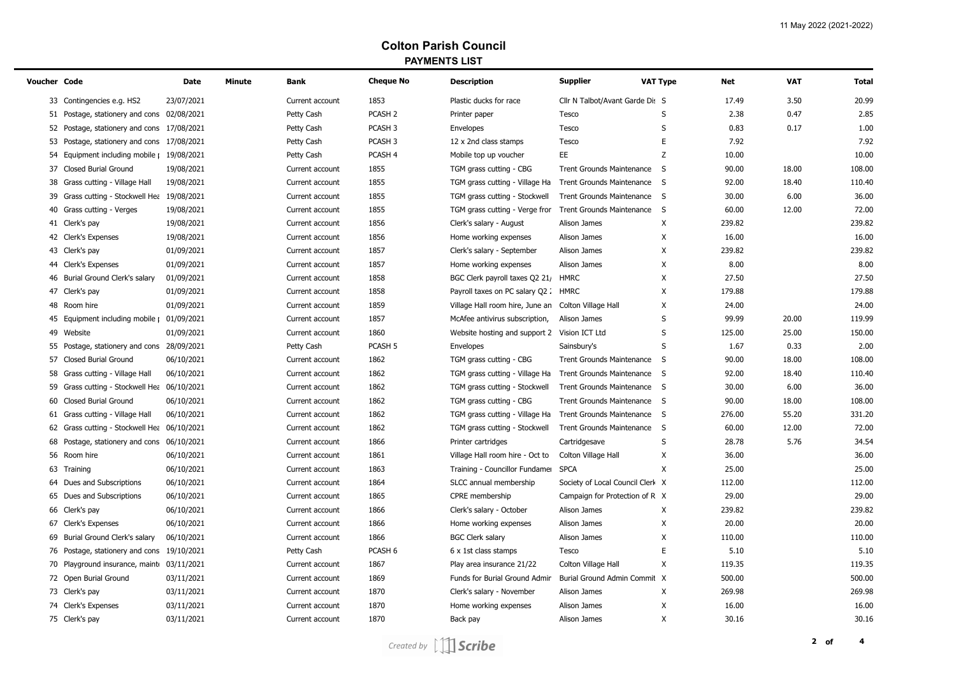## **Colton Parish Council PAYMENTS LIST**

| Voucher Code |                                             | Date       | Minute | Bank            | <b>Cheque No</b>   | <b>Description</b>                  | <b>Supplier</b>                  | <b>VAT Type</b> | <b>Net</b> | <b>VAT</b><br><b>Total</b> |
|--------------|---------------------------------------------|------------|--------|-----------------|--------------------|-------------------------------------|----------------------------------|-----------------|------------|----------------------------|
|              | 33 Contingencies e.g. HS2                   | 23/07/2021 |        | Current account | 1853               | Plastic ducks for race              | Cllr N Talbot/Avant Garde Dis S  |                 | 17.49      | 20.99<br>3.50              |
|              | 51 Postage, stationery and cons 02/08/2021  |            |        | Petty Cash      | PCASH <sub>2</sub> | Printer paper                       | Tesco                            | S               | 2.38       | 0.47<br>2.85               |
|              | 52 Postage, stationery and cons 17/08/2021  |            |        | Petty Cash      | PCASH 3            | Envelopes                           | Tesco                            | S               | 0.83       | 0.17<br>1.00               |
|              | 53 Postage, stationery and cons 17/08/2021  |            |        | Petty Cash      | PCASH <sub>3</sub> | 12 x 2nd class stamps               | Tesco                            | E               | 7.92       | 7.92                       |
|              | 54 Equipment including mobile   19/08/2021  |            |        | Petty Cash      | PCASH 4            | Mobile top up voucher               | EE.                              | Z               | 10.00      | 10.00                      |
|              | 37 Closed Burial Ground                     | 19/08/2021 |        | Current account | 1855               | TGM grass cutting - CBG             | <b>Trent Grounds Maintenance</b> | - S             | 90.00      | 108.00<br>18.00            |
|              | 38 Grass cutting - Village Hall             | 19/08/2021 |        | Current account | 1855               | TGM grass cutting - Village Ha      | Trent Grounds Maintenance S      |                 | 92.00      | 18.40<br>110.40            |
|              | 39 Grass cutting - Stockwell Hea 19/08/2021 |            |        | Current account | 1855               | TGM grass cutting - Stockwell       | Trent Grounds Maintenance S      |                 | 30.00      | 6.00<br>36.00              |
|              | 40 Grass cutting - Verges                   | 19/08/2021 |        | Current account | 1855               | TGM grass cutting - Verge fror      | Trent Grounds Maintenance        | $\mathsf{S}$    | 60.00      | 12.00<br>72.00             |
|              | 41 Clerk's pay                              | 19/08/2021 |        | Current account | 1856               | Clerk's salary - August             | Alison James                     | X               | 239.82     | 239.82                     |
|              | 42 Clerk's Expenses                         | 19/08/2021 |        | Current account | 1856               | Home working expenses               | Alison James                     | X               | 16.00      | 16.00                      |
|              | 43 Clerk's pay                              | 01/09/2021 |        | Current account | 1857               | Clerk's salary - September          | Alison James                     | X               | 239.82     | 239.82                     |
|              | 44 Clerk's Expenses                         | 01/09/2021 |        | Current account | 1857               | Home working expenses               | Alison James                     | X               | 8.00       | 8.00                       |
|              | 46 Burial Ground Clerk's salary             | 01/09/2021 |        | Current account | 1858               | BGC Clerk payroll taxes Q2 21/      | <b>HMRC</b>                      | X               | 27.50      | 27.50                      |
|              | 47 Clerk's pay                              | 01/09/2021 |        | Current account | 1858               | Payroll taxes on PC salary Q2: HMRC |                                  | X               | 179.88     | 179.88                     |
|              | 48 Room hire                                | 01/09/2021 |        | Current account | 1859               | Village Hall room hire, June an     | Colton Village Hall              | X               | 24.00      | 24.00                      |
|              | 45 Equipment including mobile   01/09/2021  |            |        | Current account | 1857               | McAfee antivirus subscription,      | Alison James                     | S               | 99.99      | 119.99<br>20.00            |
|              | 49 Website                                  | 01/09/2021 |        | Current account | 1860               | Website hosting and support 2       | Vision ICT Ltd                   | S               | 125.00     | 25.00<br>150.00            |
|              | 55 Postage, stationery and cons 28/09/2021  |            |        | Petty Cash      | PCASH <sub>5</sub> | Envelopes                           | Sainsbury's                      | S               | 1.67       | 2.00<br>0.33               |
|              | 57 Closed Burial Ground                     | 06/10/2021 |        | Current account | 1862               | TGM grass cutting - CBG             | <b>Trent Grounds Maintenance</b> | - S             | 90.00      | 18.00<br>108.00            |
|              | 58 Grass cutting - Village Hall             | 06/10/2021 |        | Current account | 1862               | TGM grass cutting - Village Ha      | Trent Grounds Maintenance S      |                 | 92.00      | 18.40<br>110.40            |
|              | 59 Grass cutting - Stockwell Hea 06/10/2021 |            |        | Current account | 1862               | TGM grass cutting - Stockwell       | Trent Grounds Maintenance S      |                 | 30.00      | 36.00<br>6.00              |
|              | 60 Closed Burial Ground                     | 06/10/2021 |        | Current account | 1862               | TGM grass cutting - CBG             | Trent Grounds Maintenance S      |                 | 90.00      | 108.00<br>18.00            |
|              | 61 Grass cutting - Village Hall             | 06/10/2021 |        | Current account | 1862               | TGM grass cutting - Village Ha      | Trent Grounds Maintenance S      |                 | 276.00     | 55.20<br>331.20            |
|              | 62 Grass cutting - Stockwell Hea 06/10/2021 |            |        | Current account | 1862               | TGM grass cutting - Stockwell       | <b>Trent Grounds Maintenance</b> | S.              | 60.00      | 72.00<br>12.00             |
|              | 68 Postage, stationery and cons 06/10/2021  |            |        | Current account | 1866               | Printer cartridges                  | Cartridgesave                    | S               | 28.78      | 34.54<br>5.76              |
|              | 56 Room hire                                | 06/10/2021 |        | Current account | 1861               | Village Hall room hire - Oct to     | Colton Village Hall              | Χ               | 36.00      | 36.00                      |
|              | 63 Training                                 | 06/10/2021 |        | Current account | 1863               | Training - Councillor Fundamer      | <b>SPCA</b>                      | X               | 25.00      | 25.00                      |
|              | 64 Dues and Subscriptions                   | 06/10/2021 |        | Current account | 1864               | SLCC annual membership              | Society of Local Council Clerk X |                 | 112.00     | 112.00                     |
|              | 65 Dues and Subscriptions                   | 06/10/2021 |        | Current account | 1865               | CPRE membership                     | Campaign for Protection of R X   |                 | 29.00      | 29.00                      |
|              | 66 Clerk's pay                              | 06/10/2021 |        | Current account | 1866               | Clerk's salary - October            | Alison James                     | X               | 239.82     | 239.82                     |
|              | 67 Clerk's Expenses                         | 06/10/2021 |        | Current account | 1866               | Home working expenses               | Alison James                     | X               | 20.00      | 20.00                      |
|              | 69 Burial Ground Clerk's salary             | 06/10/2021 |        | Current account | 1866               | <b>BGC Clerk salary</b>             | Alison James                     | Χ               | 110.00     | 110.00                     |
|              | 76 Postage, stationery and cons 19/10/2021  |            |        | Petty Cash      | PCASH 6            | 6 x 1st class stamps                | Tesco                            | E               | 5.10       | 5.10                       |
|              | 70 Playground insurance, maint 03/11/2021   |            |        | Current account | 1867               | Play area insurance 21/22           | Colton Village Hall              | X               | 119.35     | 119.35                     |
|              | 72 Open Burial Ground                       | 03/11/2021 |        | Current account | 1869               | Funds for Burial Ground Admir       | Burial Ground Admin Commit X     |                 | 500.00     | 500.00                     |
|              | 73 Clerk's pay                              | 03/11/2021 |        | Current account | 1870               | Clerk's salary - November           | Alison James                     | X               | 269.98     | 269.98                     |
|              | 74 Clerk's Expenses                         | 03/11/2021 |        | Current account | 1870               | Home working expenses               | Alison James                     | X               | 16.00      | 16.00                      |
|              | 75 Clerk's pay                              | 03/11/2021 |        | Current account | 1870               | Back pay                            | Alison James                     | X               | 30.16      | 30.16                      |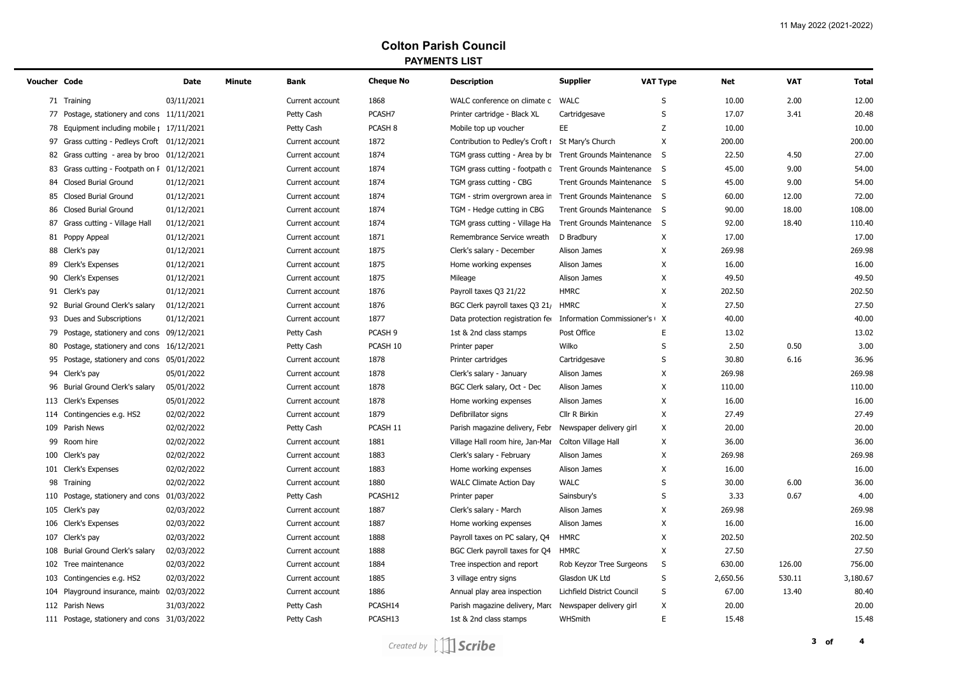## **Colton Parish Council PAYMENTS LIST**

| Voucher Code |                                             | Date       | <b>Minute</b> | Bank            | <b>Cheque No</b>   | <b>Description</b>                                         | <b>Supplier</b>                  | <b>VAT Type</b> | <b>Net</b> | <b>VAT</b> | <b>Total</b> |
|--------------|---------------------------------------------|------------|---------------|-----------------|--------------------|------------------------------------------------------------|----------------------------------|-----------------|------------|------------|--------------|
|              | 71 Training                                 | 03/11/2021 |               | Current account | 1868               | WALC conference on climate c                               | WALC                             | S               | 10.00      | 2.00       | 12.00        |
|              | 77 Postage, stationery and cons 11/11/2021  |            |               | Petty Cash      | PCASH7             | Printer cartridge - Black XL                               | Cartridgesave                    | S               | 17.07      | 3.41       | 20.48        |
|              | 78 Equipment including mobile   17/11/2021  |            |               | Petty Cash      | PCASH <sub>8</sub> | Mobile top up voucher                                      | EE.                              | Z               | 10.00      |            | 10.00        |
|              | 97 Grass cutting - Pedleys Croft 01/12/2021 |            |               | Current account | 1872               | Contribution to Pedley's Croft I                           | St Mary's Church                 | X               | 200.00     |            | 200.00       |
|              | 82 Grass cutting - area by broo 01/12/2021  |            |               | Current account | 1874               | TGM grass cutting - Area by br                             | <b>Trent Grounds Maintenance</b> | S.              | 22.50      | 4.50       | 27.00        |
|              | 83 Grass cutting - Footpath on I 01/12/2021 |            |               | Current account | 1874               | TGM grass cutting - footpath c Trent Grounds Maintenance S |                                  |                 | 45.00      | 9.00       | 54.00        |
|              | 84 Closed Burial Ground                     | 01/12/2021 |               | Current account | 1874               | TGM grass cutting - CBG                                    | Trent Grounds Maintenance S      |                 | 45.00      | 9.00       | 54.00        |
|              | 85 Closed Burial Ground                     | 01/12/2021 |               | Current account | 1874               | TGM - strim overgrown area in                              | Trent Grounds Maintenance S      |                 | 60.00      | 12.00      | 72.00        |
|              | 86 Closed Burial Ground                     | 01/12/2021 |               | Current account | 1874               | TGM - Hedge cutting in CBG                                 | <b>Trent Grounds Maintenance</b> | $\mathsf{S}$    | 90.00      | 18.00      | 108.00       |
| 87           | Grass cutting - Village Hall                | 01/12/2021 |               | Current account | 1874               | TGM grass cutting - Village Ha                             | <b>Trent Grounds Maintenance</b> | S.              | 92.00      | 18.40      | 110.40       |
|              | 81 Poppy Appeal                             | 01/12/2021 |               | Current account | 1871               | Remembrance Service wreath                                 | D Bradbury                       | X               | 17.00      |            | 17.00        |
|              | 88 Clerk's pay                              | 01/12/2021 |               | Current account | 1875               | Clerk's salary - December                                  | Alison James                     | X               | 269.98     |            | 269.98       |
|              | 89 Clerk's Expenses                         | 01/12/2021 |               | Current account | 1875               | Home working expenses                                      | Alison James                     | X               | 16.00      |            | 16.00        |
|              | 90 Clerk's Expenses                         | 01/12/2021 |               | Current account | 1875               | Mileage                                                    | Alison James                     | X               | 49.50      |            | 49.50        |
|              | 91 Clerk's pay                              | 01/12/2021 |               | Current account | 1876               | Payroll taxes Q3 21/22                                     | <b>HMRC</b>                      | X               | 202.50     |            | 202.50       |
|              | 92 Burial Ground Clerk's salary             | 01/12/2021 |               | Current account | 1876               | BGC Clerk payroll taxes Q3 21/                             | <b>HMRC</b>                      | X               | 27.50      |            | 27.50        |
|              | 93 Dues and Subscriptions                   | 01/12/2021 |               | Current account | 1877               | Data protection registration fer                           | Information Commissioner's       | $\mathsf{X}$    | 40.00      |            | 40.00        |
|              | 79 Postage, stationery and cons 09/12/2021  |            |               | Petty Cash      | PCASH <sub>9</sub> | 1st & 2nd class stamps                                     | Post Office                      | E               | 13.02      |            | 13.02        |
|              | 80 Postage, stationery and cons 16/12/2021  |            |               | Petty Cash      | PCASH 10           | Printer paper                                              | Wilko                            | S               | 2.50       | 0.50       | 3.00         |
|              | 95 Postage, stationery and cons 05/01/2022  |            |               | Current account | 1878               | Printer cartridges                                         | Cartridgesave                    | S               | 30.80      | 6.16       | 36.96        |
|              | 94 Clerk's pay                              | 05/01/2022 |               | Current account | 1878               | Clerk's salary - January                                   | Alison James                     | X               | 269.98     |            | 269.98       |
|              | 96 Burial Ground Clerk's salary             | 05/01/2022 |               | Current account | 1878               | BGC Clerk salary, Oct - Dec                                | Alison James                     | X               | 110.00     |            | 110.00       |
|              | 113 Clerk's Expenses                        | 05/01/2022 |               | Current account | 1878               | Home working expenses                                      | Alison James                     | X               | 16.00      |            | 16.00        |
|              | 114 Contingencies e.g. HS2                  | 02/02/2022 |               | Current account | 1879               | Defibrillator signs                                        | Cllr R Birkin                    | X               | 27.49      |            | 27.49        |
|              | 109 Parish News                             | 02/02/2022 |               | Petty Cash      | PCASH 11           | Parish magazine delivery, Febr                             | Newspaper delivery girl          | X               | 20.00      |            | 20.00        |
| 99           | Room hire                                   | 02/02/2022 |               | Current account | 1881               | Village Hall room hire, Jan-Mar                            | Colton Village Hall              | X               | 36.00      |            | 36.00        |
|              | 100 Clerk's pay                             | 02/02/2022 |               | Current account | 1883               | Clerk's salary - February                                  | Alison James                     | Χ               | 269.98     |            | 269.98       |
|              | 101 Clerk's Expenses                        | 02/02/2022 |               | Current account | 1883               | Home working expenses                                      | Alison James                     | X               | 16.00      |            | 16.00        |
|              | 98 Training                                 | 02/02/2022 |               | Current account | 1880               | <b>WALC Climate Action Day</b>                             | <b>WALC</b>                      | S               | 30.00      | 6.00       | 36.00        |
|              | 110 Postage, stationery and cons 01/03/2022 |            |               | Petty Cash      | PCASH12            | Printer paper                                              | Sainsbury's                      | S               | 3.33       | 0.67       | 4.00         |
|              | 105 Clerk's pay                             | 02/03/2022 |               | Current account | 1887               | Clerk's salary - March                                     | Alison James                     | Χ               | 269.98     |            | 269.98       |
|              | 106 Clerk's Expenses                        | 02/03/2022 |               | Current account | 1887               | Home working expenses                                      | Alison James                     | X               | 16.00      |            | 16.00        |
|              | 107 Clerk's pay                             | 02/03/2022 |               | Current account | 1888               | Payroll taxes on PC salary, Q4                             | <b>HMRC</b>                      | X               | 202.50     |            | 202.50       |
|              | 108 Burial Ground Clerk's salary            | 02/03/2022 |               | Current account | 1888               | BGC Clerk payroll taxes for Q4                             | <b>HMRC</b>                      | X               | 27.50      |            | 27.50        |
|              | 102 Tree maintenance                        | 02/03/2022 |               | Current account | 1884               | Tree inspection and report                                 | Rob Keyzor Tree Surgeons         | S               | 630.00     | 126.00     | 756.00       |
|              | 103 Contingencies e.g. HS2                  | 02/03/2022 |               | Current account | 1885               | 3 village entry signs                                      | Glasdon UK Ltd                   | S               | 2,650.56   | 530.11     | 3,180.67     |
|              | 104 Playground insurance, maint 02/03/2022  |            |               | Current account | 1886               | Annual play area inspection                                | Lichfield District Council       | S               | 67.00      | 13.40      | 80.40        |
|              | 112 Parish News                             | 31/03/2022 |               | Petty Cash      | PCASH14            | Parish magazine delivery, Maro                             | Newspaper delivery girl          | X               | 20.00      |            | 20.00        |
|              | 111 Postage, stationery and cons 31/03/2022 |            |               | Petty Cash      | PCASH13            | 1st & 2nd class stamps                                     | WHSmith                          | E               | 15.48      |            | 15.48        |
|              |                                             |            |               |                 |                    |                                                            |                                  |                 |            |            |              |